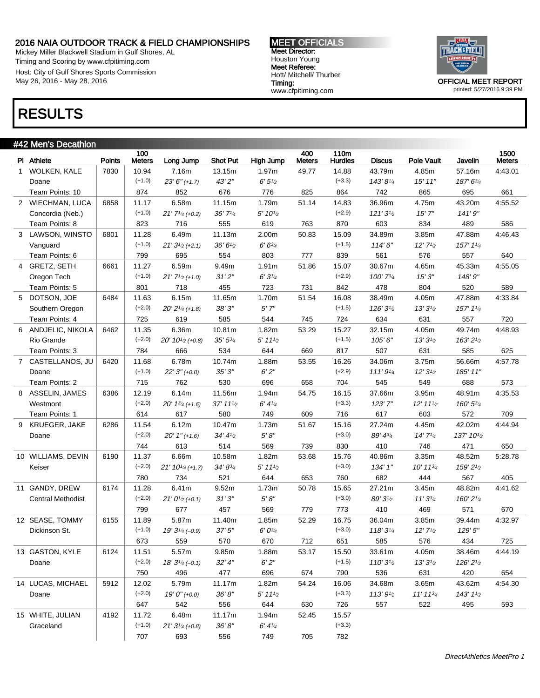Mickey Miller Blackwell Stadium in Gulf Shores, AL Timing and Scoring by www.cfpitiming.com Host: City of Gulf Shores Sports Commission May 26, 2016 - May 28, 2016

### MEET OFFICIALS Meet Director: Houston Young Meet Referee: Hott/ Mitchell/ Thurber Timing: www.cfpitiming.com



printed: 5/27/2016 9:39 PM

# RESULTS

| #42 Men's Decathlon      |               |                      |                                               |               |                                       |                      |                        |               |                  |            |                       |
|--------------------------|---------------|----------------------|-----------------------------------------------|---------------|---------------------------------------|----------------------|------------------------|---------------|------------------|------------|-----------------------|
| PI Athlete               | <b>Points</b> | 100<br><b>Meters</b> | Long Jump                                     | Shot Put      | High Jump                             | 400<br><b>Meters</b> | 110m<br><b>Hurdles</b> | <b>Discus</b> | Pole Vault       | Javelin    | 1500<br><b>Meters</b> |
| 1 WOLKEN, KALE           | 7830          | 10.94                | 7.16m                                         | 13.15m        | 1.97m                                 | 49.77                | 14.88                  | 43.79m        | 4.85m            | 57.16m     | 4:43.01               |
| Doane                    |               | $(+1.0)$             | $23' 6'' (+1.7)$                              | 43'2"         | 6'5''/2                               |                      | $(+3.3)$               | 143'81/4      | 15'11''          | 187' 63/4  |                       |
| Team Points: 10          |               | 874                  | 852                                           | 676           | 776                                   | 825                  | 864                    | 742           | 865              | 695        | 661                   |
| 2 WIECHMAN, LUCA         | 6858          | 11.17                | 6.58m                                         | 11.15m        | 1.79m                                 | 51.14                | 14.83                  | 36.96m        | 4.75m            | 43.20m     | 4:55.52               |
| Concordia (Neb.)         |               | $(+1.0)$             | $21'$ $7'$ <sup><math>4</math></sup> $(+0.2)$ | $36'$ $71/4$  | 5' 10 <sup>1</sup> /2                 |                      | $(+2.9)$               | 121'31/2      | 15'7''           | 141'9''    |                       |
| Team Points: 8           |               | 823                  | 716                                           | 555           | 619                                   | 763                  | 870                    | 603           | 834              | 489        | 586                   |
| 3 LAWSON, WINSTO         | 6801          | 11.28                | 6.49m                                         | 11.13m        | 2.00m                                 | 50.83                | 15.09                  | 34.89m        | 3.85m            | 47.88m     | 4:46.43               |
| Vanguard                 |               | $(+1.0)$             | $21'3^{1/2}(+2.1)$                            | 36'6'         | $6'6^{3/4}$                           |                      | $(+1.5)$               | 114'6''       | 12'71/2          | 157' 11/4  |                       |
| Team Points: 6           |               | 799                  | 695                                           | 554           | 803                                   | 777                  | 839                    | 561           | 576              | 557        | 640                   |
| 4 GRETZ, SETH            | 6661          | 11.27                | 6.59m                                         | 9.49m         | 1.91m                                 | 51.86                | 15.07                  | 30.67m        | 4.65m            | 45.33m     | 4:55.05               |
| Oregon Tech              |               | $(+1.0)$             | $21'$ $7'$ <sub>/2</sub> $(+1.0)$             | 31'2''        | 6'3'4                                 |                      | $(+2.9)$               | 100' 73/4     | 15'3''           | 148'9"     |                       |
| Team Points: 5           |               | 801                  | 718                                           | 455           | 723                                   | 731                  | 842                    | 478           | 804              | 520        | 589                   |
| 5 DOTSON, JOE            | 6484          | 11.63                | 6.15m                                         | 11.65m        | 1.70m                                 | 51.54                | 16.08                  | 38.49m        | 4.05m            | 47.88m     | 4:33.84               |
| Southern Oregon          |               | $(+2.0)$             | $20' 21/4 (+1.8)$                             | 38'3''        | $5'$ $7''$                            |                      | $(+1.5)$               | $126'3^{1/2}$ | $13'3'_{2}$      | 157' 11/4  |                       |
| Team Points: 4           |               | 725                  | 619                                           | 585           | 544                                   | 745                  | 724                    | 634           | 631              | 557        | 720                   |
| 6 ANDJELIC, NIKOLA       | 6462          | 11.35                | 6.36m                                         | 10.81m        | 1.82m                                 | 53.29                | 15.27                  | 32.15m        | 4.05m            | 49.74m     | 4:48.93               |
| Rio Grande               |               | $(+2.0)$             | $20' 10^{1/2}$ (+0.8)                         | $35' 5^{3/4}$ | $5'$ 11 $\frac{1}{2}$                 |                      | $(+1.5)$               | 105'6''       | $13'3'_{2}$      | 163' 21/2  |                       |
| Team Points: 3           |               | 784                  | 666                                           | 534           | 644                                   | 669                  | 817                    | 507           | 631              | 585        | 625                   |
| 7 CASTELLANOS, JU        | 6420          | 11.68                | 6.78m                                         | 10.74m        | 1.88m                                 | 53.55                | 16.26                  | 34.06m        | 3.75m            | 56.66m     | 4:57.78               |
| Doane                    |               | $(+1.0)$             | $22'3''(+0.8)$                                | 35'3''        | 6'2''                                 |                      | $(+2.9)$               | 111'9'4       | 12'31/2          | 185' 11"   |                       |
| Team Points: 2           |               | 715                  | 762                                           | 530           | 696                                   | 658                  | 704                    | 545           | 549              | 688        | 573                   |
| 8 ASSELIN, JAMES         | 6386          | 12.19                | 6.14m                                         | 11.56m        | 1.94m                                 | 54.75                | 16.15                  | 37.66m        | 3.95m            | 48.91m     | 4:35.53               |
| Westmont                 |               | $(+2.0)$             | $20'$ 1 <sup>3</sup> / <sub>4</sub> (+1.6)    | 37' 11'       | 6' 4'4                                |                      | $(+3.3)$               | 123'7"        | 12' 11'          | 160' 53/4  |                       |
| Team Points: 1           |               | 614                  | 617                                           | 580           | 749                                   | 609                  | 716                    | 617           | 603              | 572        | 709                   |
| 9 KRUEGER, JAKE          | 6286          | 11.54                | 6.12m                                         | 10.47m        | 1.73m                                 | 51.67                | 15.16                  | 27.24m        | 4.45m            | 42.02m     | 4:44.94               |
| Doane                    |               | $(+2.0)$             | $20'$ 1" (+1.6)                               | 34' 41/2      | $5^\prime\,8^{\prime\prime}$          |                      | $(+3.0)$               | 89' 43/4      | 14'7'4           | 137' 101/2 |                       |
|                          |               | 744                  | 613                                           | 514           | 569                                   | 739                  | 830                    | 410           | 746              | 471        | 650                   |
| 10 WILLIAMS, DEVIN       | 6190          | 11.37                | 6.66m                                         | 10.58m        | 1.82m                                 | 53.68                | 15.76                  | 40.86m        | 3.35m            | 48.52m     | 5:28.78               |
| Keiser                   |               | $(+2.0)$             | $21' 10^{1/4} (+1.7)$                         | 34' 83/4      | $5'$ 11 $\frac{1}{2}$                 |                      | $(+3.0)$               | 134' 1"       | $10'$ 11 $3/4$   | 159' 21/2  |                       |
|                          |               | 780                  | 734                                           | 521           | 644                                   | 653                  | 760                    | 682           | 444              | 567        | 405                   |
| 11 GANDY, DREW           | 6174          | 11.28                | 6.41m                                         | 9.52m         | 1.73m                                 | 50.78                | 15.65                  | 27.21m        | 3.45m            | 48.82m     | 4:41.62               |
| <b>Central Methodist</b> |               | $(+2.0)$             | $21'0^{1/2}(+0.1)$                            | 31'3''        | $5^\prime\,8^{\prime\prime}$          |                      | $(+3.0)$               | 89' 31/2      | 11'33/4          | 160' 21/4  |                       |
|                          |               | 799                  | 677                                           | 457           | 569                                   | 779                  | 773                    | 410           | 469              | 571        | 670                   |
| 12 SEASE, TOMMY          | 6155          | 11.89                | 5.87m                                         | 11.40m        | 1.85m                                 | 52.29                | 16.75                  | 36.04m        | 3.85m            | 39.44m     | 4:32.97               |
| Dickinson St.            |               | $(+1.0)$             | $19'3^{1/4}(-0.9)$                            | 37'5''        | $6' 0^{3/4}$                          |                      | $(+3.0)$               | 118'31/4      | $12'$ $71/2$     | 129'5''    |                       |
|                          |               | 673                  | 559                                           | 570           | 670                                   | 712                  | 651                    | 585           | 576              | 434        | 725                   |
| 13 GASTON, KYLE          | 6124          | 11.51                | 5.57m                                         | 9.85m         | 1.88m                                 | 53.17                | 15.50                  | 33.61m        | 4.05m            | 38.46m     | 4:44.19               |
| Doane                    |               | $(+2.0)$             | $18'3_{/4}$ (-0.1)                            | 32' 4''       | $6^\prime\mskip 2mu 2^{\prime\prime}$ |                      | $(+1.5)$               | 110'31/2      | $13'3'_{2}$      | 126' 21/2  |                       |
|                          |               | 750                  | 496                                           | 477           | 696                                   | 674                  | 790                    | 536           | 631              | 420        | 654                   |
| 14 LUCAS, MICHAEL        | 5912          | 12.02                | 5.79m                                         | 11.17m        | 1.82m                                 | 54.24                | 16.06                  | 34.68m        | 3.65m            | 43.62m     | 4:54.30               |
| Doane                    |               | $(+2.0)$             | $19'0''$ (+0.0)                               | 36'8''        | $5'$ 111/2                            |                      | $(+3.3)$               | 113'9'2       | $11'$ $11^{3/4}$ | 143' 11/2  |                       |
|                          |               | 647                  | 542                                           | 556           | 644                                   | 630                  | 726                    | 557           | 522              | 495        | 593                   |
| 15 WHITE, JULIAN         | 4192          | 11.72                | 6.48m                                         | 11.17m        | 1.94m                                 | 52.45                | 15.57                  |               |                  |            |                       |
| Graceland                |               | $(+1.0)$             | $21'3_{/4}$ (+0.8)                            | 36'8''        | 6' 4'4                                |                      | $(+3.3)$               |               |                  |            |                       |
|                          |               | 707                  | 693                                           | 556           | 749                                   | 705                  | 782                    |               |                  |            |                       |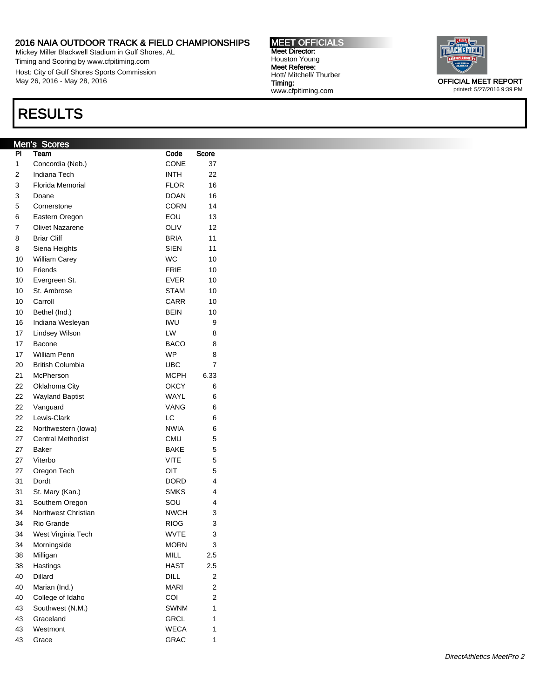Mickey Miller Blackwell Stadium in Gulf Shores, AL Timing and Scoring by www.cfpitiming.com Host: City of Gulf Shores Sports Commission May 26, 2016 - May 28, 2016

# RESULTS

| Men's | <b>Scores</b> |
|-------|---------------|

| PI | Team                     | Code        | Score |
|----|--------------------------|-------------|-------|
| 1  | Concordia (Neb.)         | CONE        | 37    |
| 2  | Indiana Tech             | INTH        | 22    |
| 3  | Florida Memorial         | FLOR        | 16    |
| 3  | Doane                    | <b>DOAN</b> | 16    |
| 5  | Cornerstone              | CORN        | 14    |
| 6  | Eastern Oregon           | EOU         | 13    |
| 7  | <b>Olivet Nazarene</b>   | OLIV        | 12    |
| 8  | <b>Briar Cliff</b>       | <b>BRIA</b> | 11    |
| 8  | Siena Heights            | <b>SIEN</b> | 11    |
| 10 | William Carey            | WC          | 10    |
| 10 | Friends                  | <b>FRIE</b> | 10    |
| 10 | Evergreen St.            | EVER        | 10    |
| 10 | St. Ambrose              | <b>STAM</b> | 10    |
| 10 | Carroll                  | CARR        | 10    |
| 10 | Bethel (Ind.)            | <b>BEIN</b> | 10    |
| 16 | Indiana Wesleyan         | IWU         | 9     |
| 17 | Lindsey Wilson           | LW          | 8     |
| 17 | Bacone                   | BACO        | 8     |
| 17 | William Penn             | <b>WP</b>   | 8     |
| 20 | <b>British Columbia</b>  | UBC         | 7     |
| 21 | McPherson                | MCPH        | 6.33  |
| 22 | Oklahoma City            | ОКСҮ        | 6     |
| 22 | <b>Wayland Baptist</b>   | WAYL        | 6     |
| 22 | Vanguard                 | VANG        | 6     |
| 22 | Lewis-Clark              | LC          | 6     |
| 22 | Northwestern (lowa)      | NWIA        | 6     |
| 27 | <b>Central Methodist</b> | CMU         | 5     |
| 27 | Baker                    | BAKE        | 5     |
| 27 | Viterbo                  | VITE        | 5     |
| 27 | Oregon Tech              | OIT         | 5     |
| 31 | Dordt                    | DORD        | 4     |
| 31 | St. Mary (Kan.)          | <b>SMKS</b> | 4     |
| 31 | Southern Oregon          | SOU         | 4     |
| 34 | Northwest Christian      | <b>NWCH</b> | 3     |
| 34 | Rio Grande               | RIOG        | 3     |
| 34 | West Virginia Tech       | <b>WVTE</b> | 3     |
| 34 | Morningside              | <b>MORN</b> | 3     |
| 38 | Milligan                 | MILL        | 2.5   |
| 38 | Hastings                 | <b>HAST</b> | 2.5   |
| 40 | Dillard                  | DILL        | 2     |
| 40 | Marian (Ind.)            | <b>MARI</b> | 2     |
| 40 | College of Idaho         | COI         | 2     |
| 43 | Southwest (N.M.)         | SWNM        | 1     |
| 43 | Graceland                | GRCL        | 1     |
| 43 | Westmont                 | <b>WECA</b> | 1     |
| 43 | Grace                    | GRAC        | 1     |

MEET OFFICIALS Meet Director: Houston Young Meet Referee: Hott/ Mitchell/ Thurber www.cfpitiming.com

Timing:



printed: 5/27/2016 9:39 PM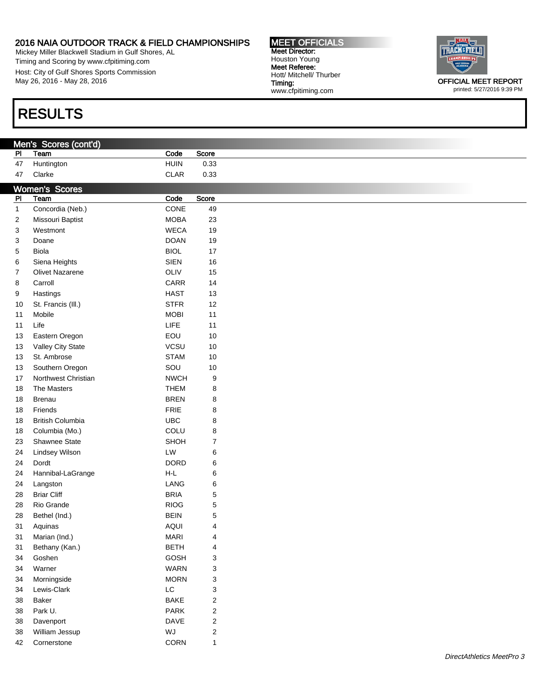Mickey Miller Blackwell Stadium in Gulf Shores, AL Timing and Scoring by www.cfpitiming.com Host: City of Gulf Shores Sports Commission May 26, 2016 - May 28, 2016

# RESULTS

|                | Men's Scores (cont'd)   |               |                         |
|----------------|-------------------------|---------------|-------------------------|
| P <sub>1</sub> | Team                    | Code          | Score                   |
| 47             | Huntington              | <b>HUIN</b>   | 0.33                    |
| 47             | Clarke                  | <b>CLAR</b>   | 0.33                    |
|                | <b>Women's Scores</b>   |               |                         |
| $\overline{P}$ | Team                    | Code          | Score                   |
| $\mathbf{1}$   | Concordia (Neb.)        | CONE          | 49                      |
| 2              | Missouri Baptist        | <b>MOBA</b>   | 23                      |
|                | Westmont                | <b>WECA</b>   |                         |
| 3              |                         |               | 19                      |
| 3              | Doane                   | <b>DOAN</b>   | 19                      |
| $\mathbf 5$    | Biola                   | <b>BIOL</b>   | $17$                    |
| 6              | Siena Heights           | SIEN          | $16\,$                  |
| $\overline{7}$ | Olivet Nazarene         | OLIV          | $15\,$                  |
| 8              | Carroll                 | CARR          | 14                      |
| 9              | Hastings                | <b>HAST</b>   | 13                      |
| 10             | St. Francis (III.)      | <b>STFR</b>   | 12                      |
| 11             | Mobile                  | <b>MOBI</b>   | 11                      |
| 11             | Life                    | LIFE          | 11                      |
| 13             | Eastern Oregon          | EOU           | $10$                    |
| 13             | Valley City State       | VCSU          | 10                      |
|                |                         |               |                         |
| 13             | St. Ambrose             | <b>STAM</b>   | 10                      |
| 13             | Southern Oregon         | SOU           | $10$                    |
| 17             | Northwest Christian     | <b>NWCH</b>   | 9                       |
| 18             | The Masters             | <b>THEM</b>   | 8                       |
| 18             | Brenau                  | <b>BREN</b>   | 8                       |
| 18             | Friends                 | FRIE          | 8                       |
| 18             | <b>British Columbia</b> | <b>UBC</b>    | 8                       |
| 18             | Columbia (Mo.)          | COLU          | 8                       |
| 23             | Shawnee State           | SHOH          | $\boldsymbol{7}$        |
| 24             | Lindsey Wilson          | LW            | 6                       |
| 24             | Dordt                   | <b>DORD</b>   | 6                       |
| 24             | Hannibal-LaGrange       | $H-L$         | 6                       |
| 24             | Langston                | LANG          | 6                       |
|                | <b>Briar Cliff</b>      |               |                         |
| 28             |                         | <b>BRIA</b>   | $\mathbf 5$             |
| 28             | Rio Grande              | <b>RIOG</b>   | $\mathbf 5$             |
| 28             | Bethel (Ind.)           | <b>BEIN</b>   | 5                       |
| 31             | Aquinas                 | <b>AQUI</b>   | 4                       |
|                | 31 Marian (Ind.)        | <b>MARI</b>   | 4                       |
| 31             | Bethany (Kan.)          | <b>BETH</b>   | 4                       |
| 34             | Goshen                  | GOSH          | 3                       |
| 34             | Warner                  | <b>WARN</b>   | 3                       |
| 34             | Morningside             | <b>MORN</b>   | 3                       |
| 34             | Lewis-Clark             | $\mathsf{LC}$ | 3                       |
| 38             | Baker                   | <b>BAKE</b>   | 2                       |
| 38             | Park U.                 | PARK          | 2                       |
|                |                         | DAVE          | 2                       |
| 38             | Davenport               |               |                         |
| 38             | William Jessup          | WJ            | $\overline{\mathbf{c}}$ |
| 42             | Cornerstone             | CORN          | $\mathbf{1}$            |

DirectAthletics MeetPro 3



printed: 5/27/2016 9:39 PM

### MEET OFFICIALS Meet Director: Houston Young Meet Referee: Hott/ Mitchell/ Thurber Timing: www.cfpitiming.com